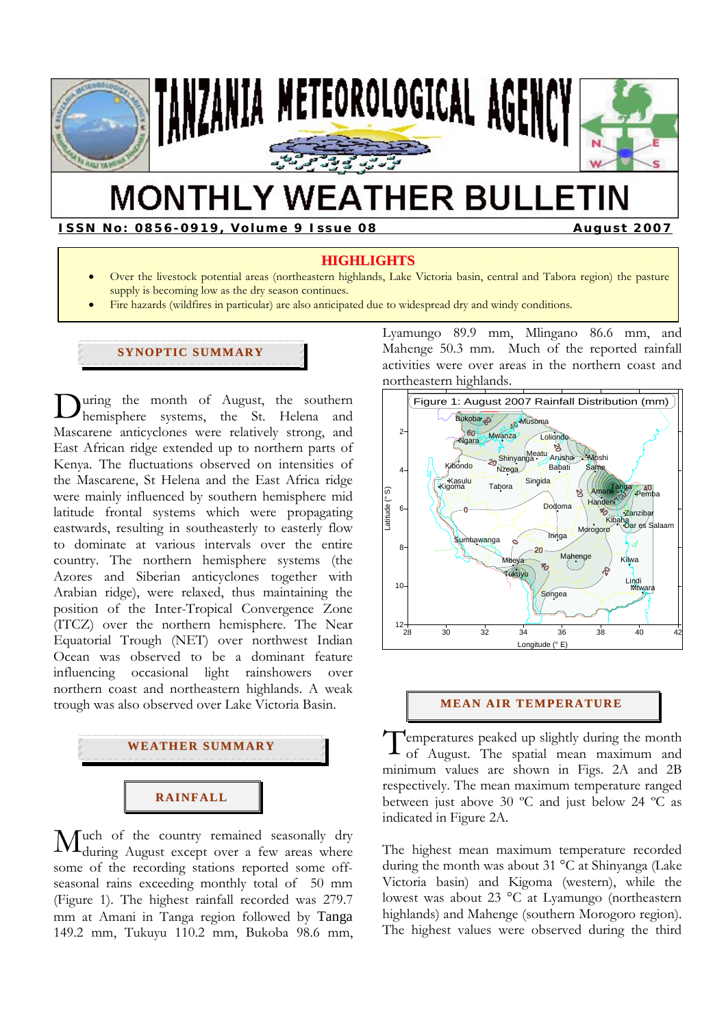

# **MONTHLY WEATHER BULLETIN**

**ISSN No: 0856-0919, Volume 9 Issue 08 August 2007** 

# **HIGHLIGHTS**

- Over the livestock potential areas (northeastern highlands, Lake Victoria basin, central and Tabora region) the pasture supply is becoming low as the dry season continues.
- Fire hazards (wildfires in particular) are also anticipated due to widespread dry and windy conditions.

# **SYNOPTIC SUMMARY**

uring the month of August, the southern During the month of August, the southern<br>hemisphere systems, the St. Helena and Mascarene anticyclones were relatively strong, and East African ridge extended up to northern parts of Kenya. The fluctuations observed on intensities of the Mascarene, St Helena and the East Africa ridge were mainly influenced by southern hemisphere mid latitude frontal systems which were propagating eastwards, resulting in southeasterly to easterly flow to dominate at various intervals over the entire country. The northern hemisphere systems (the Azores and Siberian anticyclones together with Arabian ridge), were relaxed, thus maintaining the position of the Inter-Tropical Convergence Zone (ITCZ) over the northern hemisphere. The Near Equatorial Trough (NET) over northwest Indian Ocean was observed to be a dominant feature influencing occasional light rainshowers over northern coast and northeastern highlands. A weak trough was also observed over Lake Victoria Basin.



uch of the country remained seasonally dry Much of the country remained seasonally dry during August except over a few areas where some of the recording stations reported some offseasonal rains exceeding monthly total of 50 mm (Figure 1). The highest rainfall recorded was 279.7 mm at Amani in Tanga region followed by Tanga 149.2 mm, Tukuyu 110.2 mm, Bukoba 98.6 mm,

Lyamungo 89.9 mm, Mlingano 86.6 mm, and Mahenge 50.3 mm. Much of the reported rainfall activities were over areas in the northern coast and northeastern highlands.



## **MEAN AIR TEMPERATURE**

Temperatures peaked up slightly during the month<br>of August. The spatial mean maximum and of August. The spatial mean maximum and minimum values are shown in Figs. 2A and 2B respectively. The mean maximum temperature ranged between just above 30 ºC and just below 24 ºC as indicated in Figure 2A.

The highest mean maximum temperature recorded during the month was about 31 °C at Shinyanga (Lake Victoria basin) and Kigoma (western), while the lowest was about 23 °C at Lyamungo (northeastern highlands) and Mahenge (southern Morogoro region). The highest values were observed during the third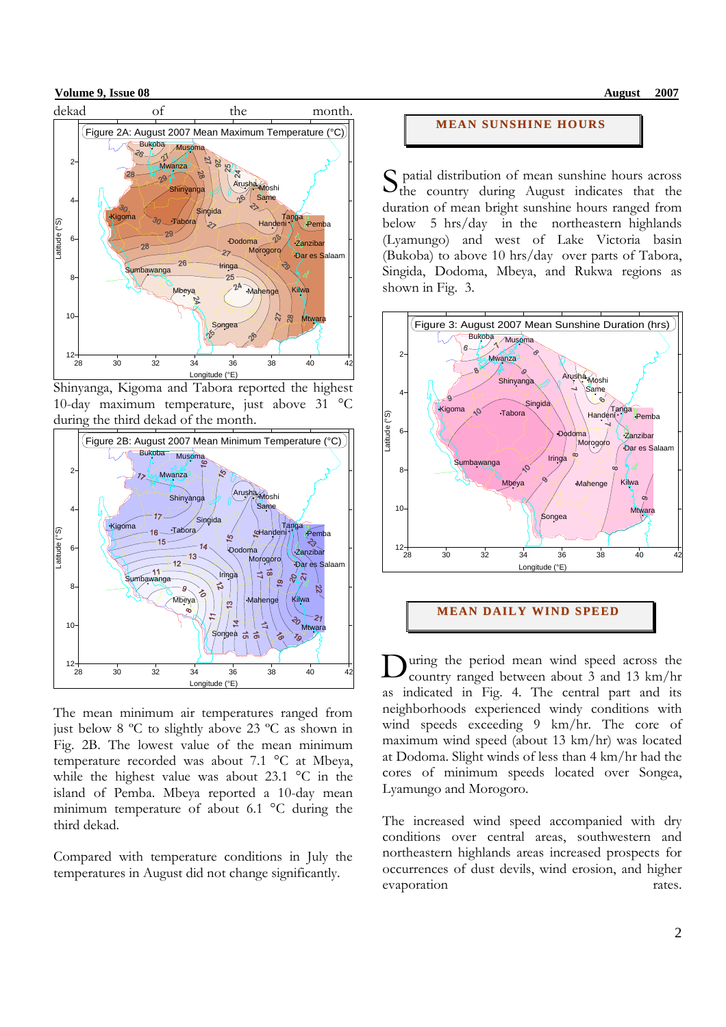#### **Volume 9, Issue 08** August 2007



Shinyanga, Kigoma and Tabora reported the highest 10-day maximum temperature, just above 31 °C during the third dekad of the month.



The mean minimum air temperatures ranged from just below 8 ºC to slightly above 23 ºC as shown in Fig. 2B. The lowest value of the mean minimum temperature recorded was about 7.1 °C at Mbeya, while the highest value was about 23.1 °C in the island of Pemba. Mbeya reported a 10-day mean minimum temperature of about 6.1 °C during the third dekad.

Compared with temperature conditions in July the temperatures in August did not change significantly.

# **MEAN SUNSHINE HOURS**

 patial distribution of mean sunshine hours across S patial distribution of mean sunshine hours across<br>the country during August indicates that the duration of mean bright sunshine hours ranged from below 5 hrs/day in the northeastern highlands (Lyamungo) and west of Lake Victoria basin (Bukoba) to above 10 hrs/day over parts of Tabora, Singida, Dodoma, Mbeya, and Rukwa regions as shown in Fig. 3.



**MEAN DAILY WI ND SPEED**

uring the period mean wind speed across the country ranged between about 3 and 13 km/hr as indicated in Fig. 4. The central part and its neighborhoods experienced windy conditions with wind speeds exceeding 9 km/hr. The core of maximum wind speed (about 13 km/hr) was located at Dodoma. Slight winds of less than 4 km/hr had the cores of minimum speeds located over Songea, Lyamungo and Morogoro. D

The increased wind speed accompanied with dry conditions over central areas, southwestern and northeastern highlands areas increased prospects for occurrences of dust devils, wind erosion, and higher evaporation rates.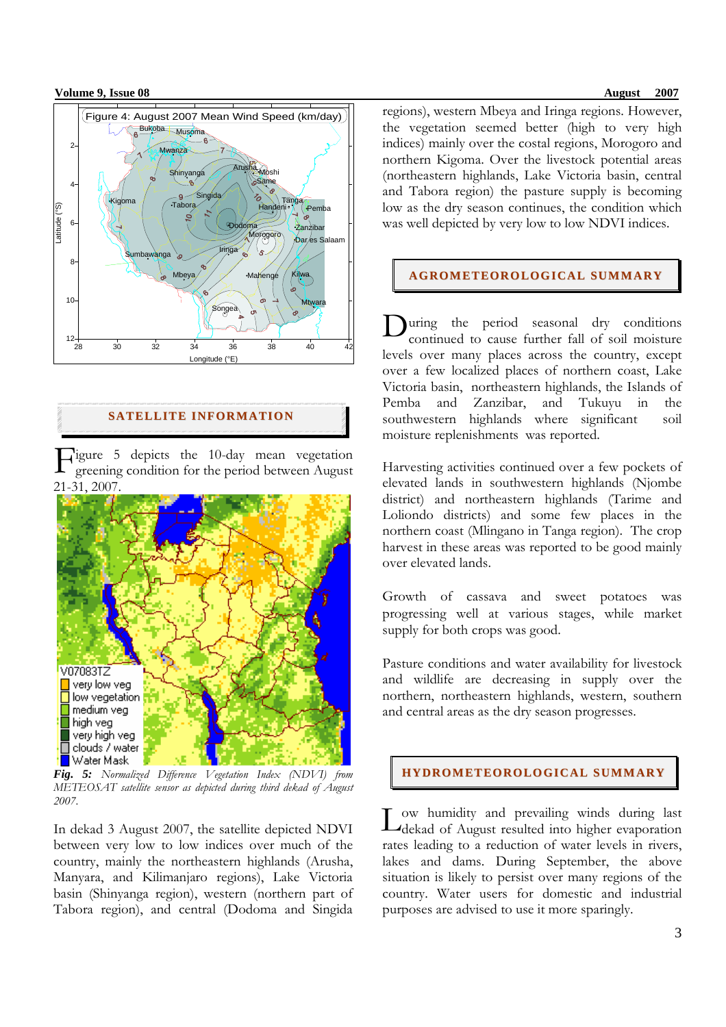#### **Volume 9, Issue 08** August 2007



# **SATELLITE INFORMATION**

Figure 5 depicts the 10-day mean vegetation<br>greening condition for the period between August greening condition for the period between August 21-31, 2007.



*Fig. 5: Normalized Difference Vegetation Index (NDVI) from METEOSAT satellite sensor as depicted during third dekad of August 2007*.

In dekad 3 August 2007, the satellite depicted NDVI between very low to low indices over much of the country, mainly the northeastern highlands (Arusha, Manyara, and Kilimanjaro regions), Lake Victoria basin (Shinyanga region), western (northern part of Tabora region), and central (Dodoma and Singida

regions), western Mbeya and Iringa regions. However, the vegetation seemed better (high to very high indices) mainly over the costal regions, Morogoro and northern Kigoma. Over the livestock potential areas (northeastern highlands, Lake Victoria basin, central and Tabora region) the pasture supply is becoming low as the dry season continues, the condition which was well depicted by very low to low NDVI indices.

## **AGROMETEOROLOGI CAL SUMMARY**

During the period seasonal dry conditions<br>continued to cause further fall of soil moisture continued to cause further fall of soil moisture levels over many places across the country, except over a few localized places of northern coast, Lake Victoria basin, northeastern highlands, the Islands of Pemba and Zanzibar, and Tukuyu in the southwestern highlands where significant soil moisture replenishments was reported.

Harvesting activities continued over a few pockets of elevated lands in southwestern highlands (Njombe district) and northeastern highlands (Tarime and Loliondo districts) and some few places in the northern coast (Mlingano in Tanga region). The crop harvest in these areas was reported to be good mainly over elevated lands.

Growth of cassava and sweet potatoes was progressing well at various stages, while market supply for both crops was good.

Pasture conditions and water availability for livestock and wildlife are decreasing in supply over the northern, northeastern highlands, western, southern and central areas as the dry season progresses.

# **HYDROMETEOROLOGICAL SUMMARY**

ow humidity and prevailing winds during last L dekad of August resulted into higher evaporation rates leading to a reduction of water levels in rivers, lakes and dams. During September, the above situation is likely to persist over many regions of the country. Water users for domestic and industrial purposes are advised to use it more sparingly.